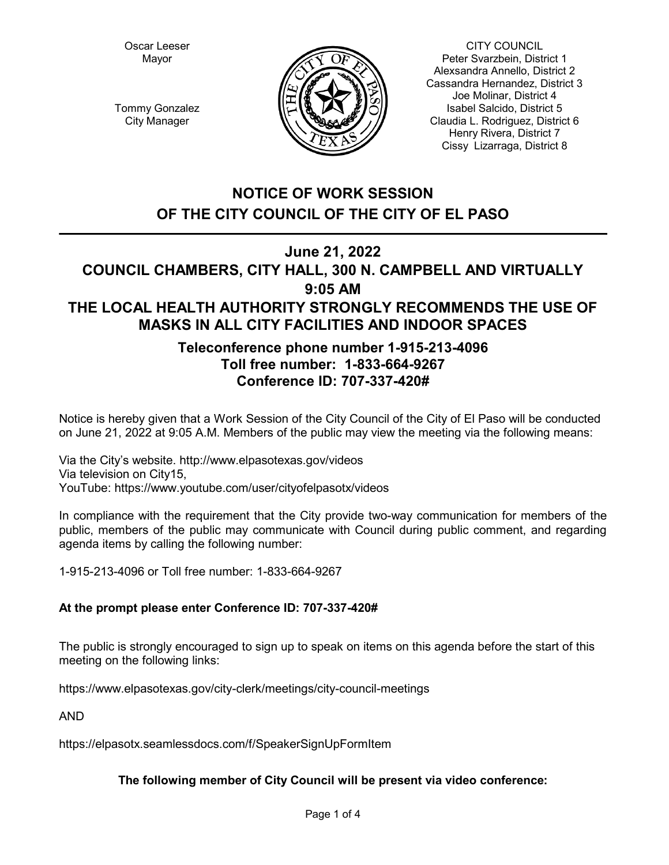Oscar Leeser Mayor



CITY COUNCIL Peter Svarzbein, District 1 Alexsandra Annello, District 2 Cassandra Hernandez, District 3 Joe Molinar, District 4 Isabel Salcido, District 5 Claudia L. Rodriguez, District 6 Henry Rivera, District 7 Cissy Lizarraga, District 8

Tommy Gonzalez City Manager

# **NOTICE OF WORK SESSION OF THE CITY COUNCIL OF THE CITY OF EL PASO**

# **June 21, 2022**

# **COUNCIL CHAMBERS, CITY HALL, 300 N. CAMPBELL AND VIRTUALLY 9:05 AM THE LOCAL HEALTH AUTHORITY STRONGLY RECOMMENDS THE USE OF MASKS IN ALL CITY FACILITIES AND INDOOR SPACES**

# **Teleconference phone number 1-915-213-4096 Toll free number: 1-833-664-9267 Conference ID: 707-337-420#**

Notice is hereby given that a Work Session of the City Council of the City of El Paso will be conducted on June 21, 2022 at 9:05 A.M. Members of the public may view the meeting via the following means:

Via the City's website. http://www.elpasotexas.gov/videos Via television on City15, YouTube: https://www.youtube.com/user/cityofelpasotx/videos

In compliance with the requirement that the City provide two-way communication for members of the public, members of the public may communicate with Council during public comment, and regarding agenda items by calling the following number:

1-915-213-4096 or Toll free number: 1-833-664-9267

# **At the prompt please enter Conference ID: 707-337-420#**

The public is strongly encouraged to sign up to speak on items on this agenda before the start of this meeting on the following links:

https://www.elpasotexas.gov/city-clerk/meetings/city-council-meetings

AND

https://elpasotx.seamlessdocs.com/f/SpeakerSignUpFormItem

# **The following member of City Council will be present via video conference:**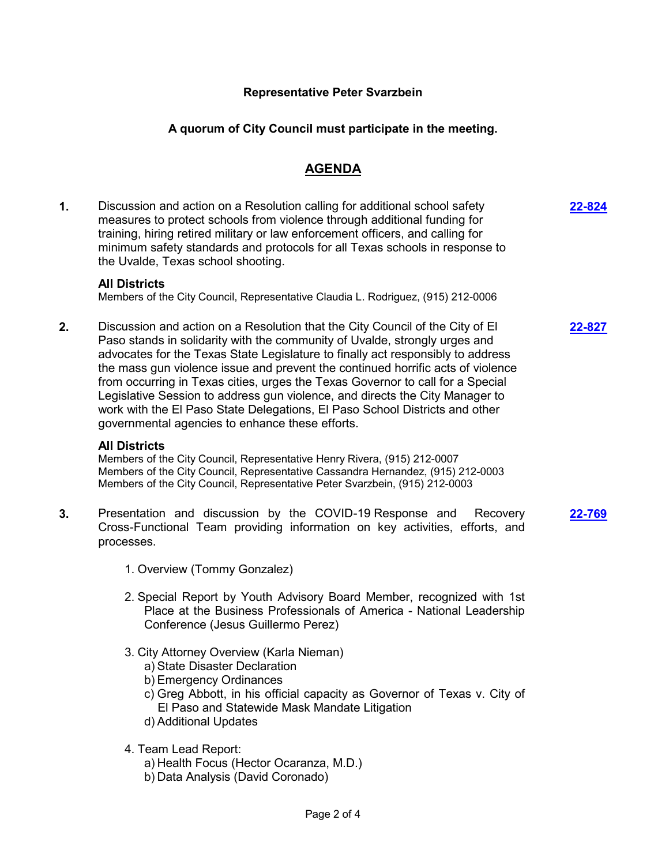## **Representative Peter Svarzbein**

## **A quorum of City Council must participate in the meeting.**

## **AGENDA**

**1.** Discussion and action on a Resolution calling for additional school safety measures to protect schools from violence through additional funding for training, hiring retired military or law enforcement officers, and calling for minimum safety standards and protocols for all Texas schools in response to the Uvalde, Texas school shooting.

#### **All Districts**

Members of the City Council, Representative Claudia L. Rodriguez, (915) 212-0006

**2.** Discussion and action on a Resolution that the City Council of the City of El Paso stands in solidarity with the community of Uvalde, strongly urges and advocates for the Texas State Legislature to finally act responsibly to address the mass gun violence issue and prevent the continued horrific acts of violence from occurring in Texas cities, urges the Texas Governor to call for a Special Legislative Session to address gun violence, and directs the City Manager to work with the El Paso State Delegations, El Paso School Districts and other governmental agencies to enhance these efforts.

#### **All Districts**

Members of the City Council, Representative Henry Rivera, (915) 212-0007 Members of the City Council, Representative Cassandra Hernandez, (915) 212-0003 Members of the City Council, Representative Peter Svarzbein, (915) 212-0003

- **3.** Presentation and discussion by the COVID-19 Response and Recovery Cross-Functional Team providing information on key activities, efforts, and processes. **[22-769](http://elpasotexas.legistar.com/gateway.aspx?m=l&id=/matter.aspx?key=7231)**
	- 1. Overview (Tommy Gonzalez)
	- 2. Special Report by Youth Advisory Board Member, recognized with 1st Place at the Business Professionals of America - National Leadership Conference (Jesus Guillermo Perez)
	- 3. City Attorney Overview (Karla Nieman)
		- a) State Disaster Declaration
		- b) Emergency Ordinances
		- c) Greg Abbott, in his official capacity as Governor of Texas v. City of El Paso and Statewide Mask Mandate Litigation
		- d) Additional Updates
	- 4. Team Lead Report:
		- a) Health Focus (Hector Ocaranza, M.D.)
		- b) Data Analysis (David Coronado)

**[22-827](http://elpasotexas.legistar.com/gateway.aspx?m=l&id=/matter.aspx?key=7289)**

**[22-824](http://elpasotexas.legistar.com/gateway.aspx?m=l&id=/matter.aspx?key=7286)**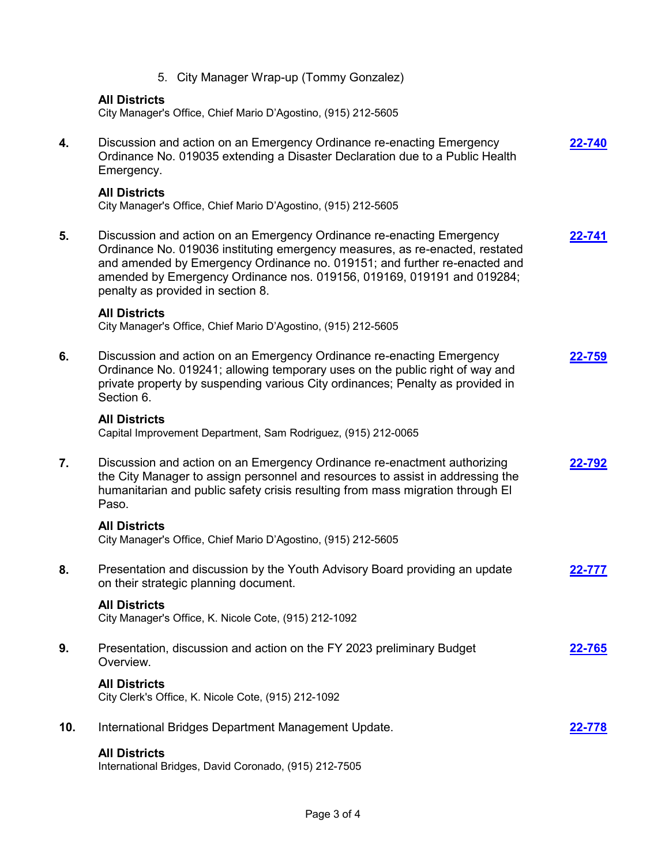|     | 5. City Manager Wrap-up (Tommy Gonzalez)                                                                                                                                                                                                                                                                                                          |               |
|-----|---------------------------------------------------------------------------------------------------------------------------------------------------------------------------------------------------------------------------------------------------------------------------------------------------------------------------------------------------|---------------|
|     | <b>All Districts</b><br>City Manager's Office, Chief Mario D'Agostino, (915) 212-5605                                                                                                                                                                                                                                                             |               |
| 4.  | Discussion and action on an Emergency Ordinance re-enacting Emergency<br>Ordinance No. 019035 extending a Disaster Declaration due to a Public Health<br>Emergency.                                                                                                                                                                               | 22-740        |
|     | <b>All Districts</b><br>City Manager's Office, Chief Mario D'Agostino, (915) 212-5605                                                                                                                                                                                                                                                             |               |
| 5.  | Discussion and action on an Emergency Ordinance re-enacting Emergency<br>Ordinance No. 019036 instituting emergency measures, as re-enacted, restated<br>and amended by Emergency Ordinance no. 019151; and further re-enacted and<br>amended by Emergency Ordinance nos. 019156, 019169, 019191 and 019284;<br>penalty as provided in section 8. | 22-741        |
|     | <b>All Districts</b><br>City Manager's Office, Chief Mario D'Agostino, (915) 212-5605                                                                                                                                                                                                                                                             |               |
| 6.  | Discussion and action on an Emergency Ordinance re-enacting Emergency<br>Ordinance No. 019241; allowing temporary uses on the public right of way and<br>private property by suspending various City ordinances; Penalty as provided in<br>Section 6.                                                                                             | <u>22-759</u> |
|     | <b>All Districts</b><br>Capital Improvement Department, Sam Rodriguez, (915) 212-0065                                                                                                                                                                                                                                                             |               |
| 7.  | Discussion and action on an Emergency Ordinance re-enactment authorizing<br>the City Manager to assign personnel and resources to assist in addressing the<br>humanitarian and public safety crisis resulting from mass migration through El<br>Paso.                                                                                             | 22-792        |
|     | <b>All Districts</b><br>City Manager's Office, Chief Mario D'Agostino, (915) 212-5605                                                                                                                                                                                                                                                             |               |
| 8.  | Presentation and discussion by the Youth Advisory Board providing an update<br>on their strategic planning document.                                                                                                                                                                                                                              | 22-777        |
|     | <b>All Districts</b><br>City Manager's Office, K. Nicole Cote, (915) 212-1092                                                                                                                                                                                                                                                                     |               |
| 9.  | Presentation, discussion and action on the FY 2023 preliminary Budget<br>Overview.                                                                                                                                                                                                                                                                | <u>22-765</u> |
|     | <b>All Districts</b><br>City Clerk's Office, K. Nicole Cote, (915) 212-1092                                                                                                                                                                                                                                                                       |               |
| 10. | International Bridges Department Management Update.                                                                                                                                                                                                                                                                                               | 22-778        |
|     | <b>All Districts</b><br>International Bridges, David Coronado, (915) 212-7505                                                                                                                                                                                                                                                                     |               |